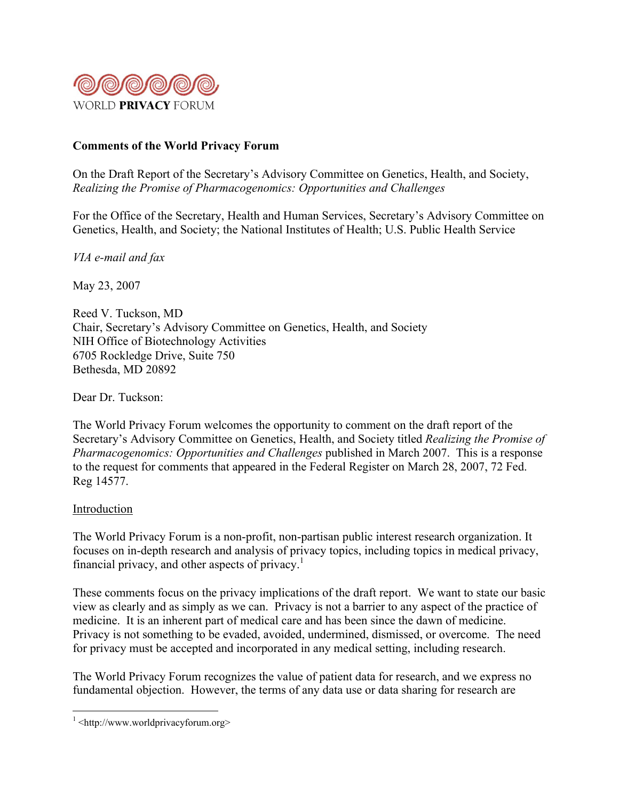

# **Comments of the World Privacy Forum**

On the Draft Report of the Secretary's Advisory Committee on Genetics, Health, and Society, *Realizing the Promise of Pharmacogenomics: Opportunities and Challenges*

For the Office of the Secretary, Health and Human Services, Secretary's Advisory Committee on Genetics, Health, and Society; the National Institutes of Health; U.S. Public Health Service

*VIA e-mail and fax*

May 23, 2007

Reed V. Tuckson, MD Chair, Secretary's Advisory Committee on Genetics, Health, and Society NIH Office of Biotechnology Activities 6705 Rockledge Drive, Suite 750 Bethesda, MD 20892

Dear Dr. Tuckson:

The World Privacy Forum welcomes the opportunity to comment on the draft report of the Secretary's Advisory Committee on Genetics, Health, and Society titled *Realizing the Promise of Pharmacogenomics: Opportunities and Challenges* published in March 2007. This is a response to the request for comments that appeared in the Federal Register on March 28, 2007, 72 Fed. Reg 14577.

## Introduction

The World Privacy Forum is a non-profit, non-partisan public interest research organization. It focuses on in-depth research and analysis of privacy topics, including topics in medical privacy, financial privacy, and other aspects of privacy.<sup>1</sup>

These comments focus on the privacy implications of the draft report. We want to state our basic view as clearly and as simply as we can. Privacy is not a barrier to any aspect of the practice of medicine. It is an inherent part of medical care and has been since the dawn of medicine. Privacy is not something to be evaded, avoided, undermined, dismissed, or overcome. The need for privacy must be accepted and incorporated in any medical setting, including research.

The World Privacy Forum recognizes the value of patient data for research, and we express no fundamental objection. However, the terms of any data use or data sharing for research are

 $\frac{1}{1}$  $\frac{1}{1}$  <http://www.worldprivacyforum.org>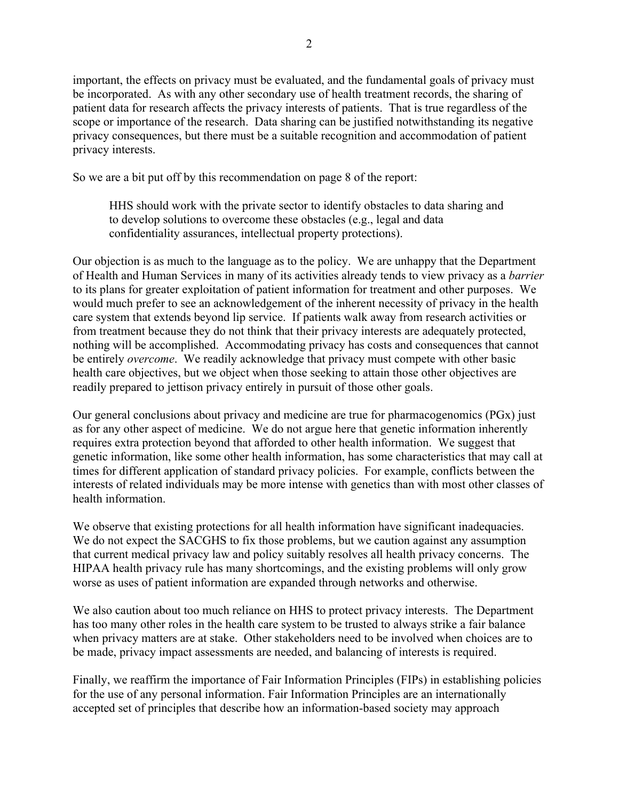important, the effects on privacy must be evaluated, and the fundamental goals of privacy must be incorporated. As with any other secondary use of health treatment records, the sharing of patient data for research affects the privacy interests of patients. That is true regardless of the scope or importance of the research. Data sharing can be justified notwithstanding its negative privacy consequences, but there must be a suitable recognition and accommodation of patient privacy interests.

So we are a bit put off by this recommendation on page 8 of the report:

HHS should work with the private sector to identify obstacles to data sharing and to develop solutions to overcome these obstacles (e.g., legal and data confidentiality assurances, intellectual property protections).

Our objection is as much to the language as to the policy. We are unhappy that the Department of Health and Human Services in many of its activities already tends to view privacy as a *barrier* to its plans for greater exploitation of patient information for treatment and other purposes. We would much prefer to see an acknowledgement of the inherent necessity of privacy in the health care system that extends beyond lip service. If patients walk away from research activities or from treatment because they do not think that their privacy interests are adequately protected, nothing will be accomplished. Accommodating privacy has costs and consequences that cannot be entirely *overcome*. We readily acknowledge that privacy must compete with other basic health care objectives, but we object when those seeking to attain those other objectives are readily prepared to jettison privacy entirely in pursuit of those other goals.

Our general conclusions about privacy and medicine are true for pharmacogenomics (PGx) just as for any other aspect of medicine. We do not argue here that genetic information inherently requires extra protection beyond that afforded to other health information. We suggest that genetic information, like some other health information, has some characteristics that may call at times for different application of standard privacy policies. For example, conflicts between the interests of related individuals may be more intense with genetics than with most other classes of health information.

We observe that existing protections for all health information have significant inadequacies. We do not expect the SACGHS to fix those problems, but we caution against any assumption that current medical privacy law and policy suitably resolves all health privacy concerns. The HIPAA health privacy rule has many shortcomings, and the existing problems will only grow worse as uses of patient information are expanded through networks and otherwise.

We also caution about too much reliance on HHS to protect privacy interests. The Department has too many other roles in the health care system to be trusted to always strike a fair balance when privacy matters are at stake. Other stakeholders need to be involved when choices are to be made, privacy impact assessments are needed, and balancing of interests is required.

Finally, we reaffirm the importance of Fair Information Principles (FIPs) in establishing policies for the use of any personal information. Fair Information Principles are an internationally accepted set of principles that describe how an information-based society may approach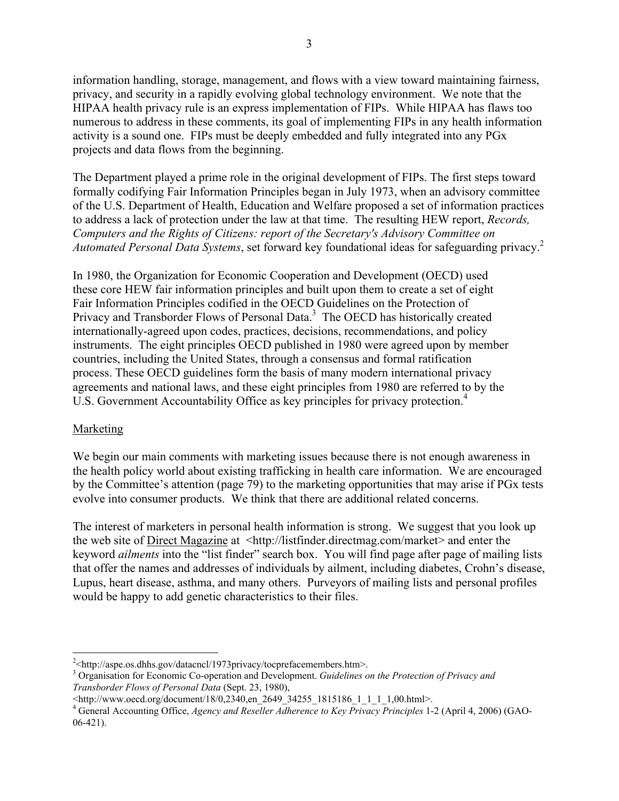information handling, storage, management, and flows with a view toward maintaining fairness, privacy, and security in a rapidly evolving global technology environment. We note that the HIPAA health privacy rule is an express implementation of FIPs. While HIPAA has flaws too numerous to address in these comments, its goal of implementing FIPs in any health information activity is a sound one. FIPs must be deeply embedded and fully integrated into any PGx projects and data flows from the beginning.

The Department played a prime role in the original development of FIPs. The first steps toward formally codifying Fair Information Principles began in July 1973, when an advisory committee of the U.S. Department of Health, Education and Welfare proposed a set of information practices to address a lack of protection under the law at that time. The resulting HEW report, *Records, Computers and the Rights of Citizens: report of the Secretary's Advisory Committee on Automated Personal Data Systems*, set forward key foundational ideas for safeguarding privacy.<sup>2</sup>

In 1980, the Organization for Economic Cooperation and Development (OECD) used these core HEW fair information principles and built upon them to create a set of eight Fair Information Principles codified in the OECD Guidelines on the Protection of Privacy and Transborder Flows of Personal Data.<sup>3</sup> The OECD has historically created internationally-agreed upon codes, practices, decisions, recommendations, and policy instruments. The eight principles OECD published in 1980 were agreed upon by member countries, including the United States, through a consensus and formal ratification process. These OECD guidelines form the basis of many modern international privacy agreements and national laws, and these eight principles from 1980 are referred to by the U.S. Government Accountability Office as key principles for privacy protection.<sup>4</sup>

## Marketing

We begin our main comments with marketing issues because there is not enough awareness in the health policy world about existing trafficking in health care information. We are encouraged by the Committee's attention (page 79) to the marketing opportunities that may arise if PGx tests evolve into consumer products. We think that there are additional related concerns.

The interest of marketers in personal health information is strong. We suggest that you look up the web site of Direct Magazine at <http://listfinder.directmag.com/market> and enter the keyword *ailments* into the "list finder" search box. You will find page after page of mailing lists that offer the names and addresses of individuals by ailment, including diabetes, Crohn's disease, Lupus, heart disease, asthma, and many others. Purveyors of mailing lists and personal profiles would be happy to add genetic characteristics to their files.

 $\frac{1}{2}$  $^{2}$  < http://aspe.os.dhhs.gov/datacncl/1973privacy/tocprefacemembers.htm>.

<sup>3</sup> Organisation for Economic Co-operation and Development. *Guidelines on the Protection of Privacy and Transborder Flows of Personal Data* (Sept. 23, 1980),

<sup>&</sup>lt;http://www.oecd.org/document/18/0,2340,en\_2649\_34255\_1815186\_1\_1\_1\_1,00.html>.

<sup>4</sup> General Accounting Office, *Agency and Reseller Adherence to Key Privacy Principles* 1-2 (April 4, 2006) (GAO-06-421).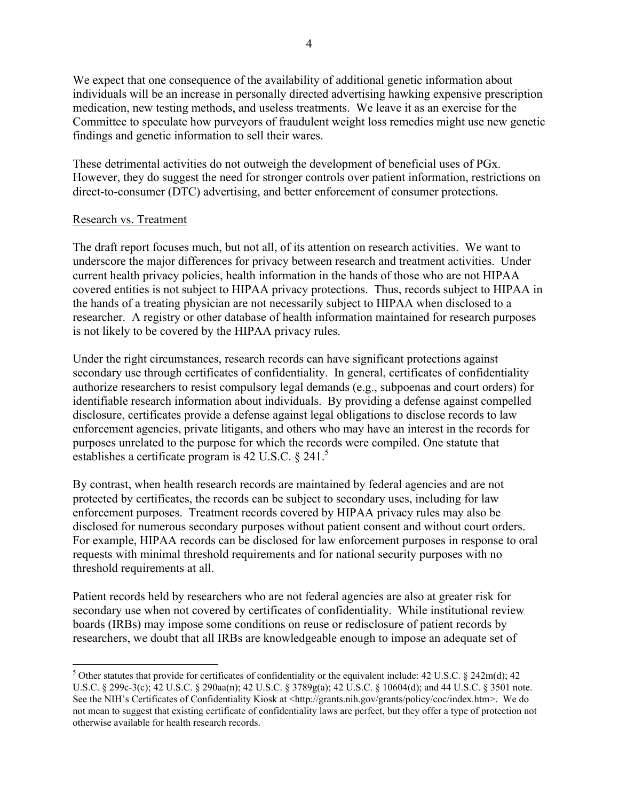We expect that one consequence of the availability of additional genetic information about individuals will be an increase in personally directed advertising hawking expensive prescription medication, new testing methods, and useless treatments. We leave it as an exercise for the Committee to speculate how purveyors of fraudulent weight loss remedies might use new genetic findings and genetic information to sell their wares.

These detrimental activities do not outweigh the development of beneficial uses of PGx. However, they do suggest the need for stronger controls over patient information, restrictions on direct-to-consumer (DTC) advertising, and better enforcement of consumer protections.

## Research vs. Treatment

The draft report focuses much, but not all, of its attention on research activities. We want to underscore the major differences for privacy between research and treatment activities. Under current health privacy policies, health information in the hands of those who are not HIPAA covered entities is not subject to HIPAA privacy protections. Thus, records subject to HIPAA in the hands of a treating physician are not necessarily subject to HIPAA when disclosed to a researcher. A registry or other database of health information maintained for research purposes is not likely to be covered by the HIPAA privacy rules.

Under the right circumstances, research records can have significant protections against secondary use through certificates of confidentiality. In general, certificates of confidentiality authorize researchers to resist compulsory legal demands (e.g., subpoenas and court orders) for identifiable research information about individuals. By providing a defense against compelled disclosure, certificates provide a defense against legal obligations to disclose records to law enforcement agencies, private litigants, and others who may have an interest in the records for purposes unrelated to the purpose for which the records were compiled. One statute that establishes a certificate program is 42 U.S.C. § 241.<sup>5</sup>

By contrast, when health research records are maintained by federal agencies and are not protected by certificates, the records can be subject to secondary uses, including for law enforcement purposes. Treatment records covered by HIPAA privacy rules may also be disclosed for numerous secondary purposes without patient consent and without court orders. For example, HIPAA records can be disclosed for law enforcement purposes in response to oral requests with minimal threshold requirements and for national security purposes with no threshold requirements at all.

Patient records held by researchers who are not federal agencies are also at greater risk for secondary use when not covered by certificates of confidentiality. While institutional review boards (IRBs) may impose some conditions on reuse or redisclosure of patient records by researchers, we doubt that all IRBs are knowledgeable enough to impose an adequate set of

 <sup>5</sup>  $5$  Other statutes that provide for certificates of confidentiality or the equivalent include: 42 U.S.C. § 242m(d); 42 U.S.C. § 299c-3(c); 42 U.S.C. § 290aa(n); 42 U.S.C. § 3789g(a); 42 U.S.C. § 10604(d); and 44 U.S.C. § 3501 note. See the NIH's Certificates of Confidentiality Kiosk at <http://grants.nih.gov/grants/policy/coc/index.htm>. We do not mean to suggest that existing certificate of confidentiality laws are perfect, but they offer a type of protection not otherwise available for health research records.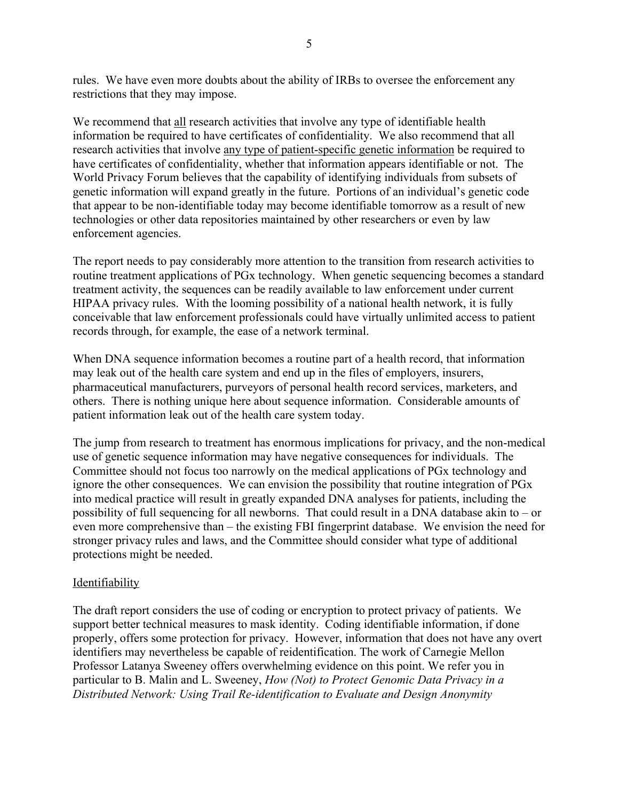rules. We have even more doubts about the ability of IRBs to oversee the enforcement any restrictions that they may impose.

We recommend that all research activities that involve any type of identifiable health information be required to have certificates of confidentiality. We also recommend that all research activities that involve any type of patient-specific genetic information be required to have certificates of confidentiality, whether that information appears identifiable or not. The World Privacy Forum believes that the capability of identifying individuals from subsets of genetic information will expand greatly in the future. Portions of an individual's genetic code that appear to be non-identifiable today may become identifiable tomorrow as a result of new technologies or other data repositories maintained by other researchers or even by law enforcement agencies.

The report needs to pay considerably more attention to the transition from research activities to routine treatment applications of PGx technology. When genetic sequencing becomes a standard treatment activity, the sequences can be readily available to law enforcement under current HIPAA privacy rules. With the looming possibility of a national health network, it is fully conceivable that law enforcement professionals could have virtually unlimited access to patient records through, for example, the ease of a network terminal.

When DNA sequence information becomes a routine part of a health record, that information may leak out of the health care system and end up in the files of employers, insurers, pharmaceutical manufacturers, purveyors of personal health record services, marketers, and others. There is nothing unique here about sequence information. Considerable amounts of patient information leak out of the health care system today.

The jump from research to treatment has enormous implications for privacy, and the non-medical use of genetic sequence information may have negative consequences for individuals. The Committee should not focus too narrowly on the medical applications of PGx technology and ignore the other consequences. We can envision the possibility that routine integration of PGx into medical practice will result in greatly expanded DNA analyses for patients, including the possibility of full sequencing for all newborns. That could result in a DNA database akin to – or even more comprehensive than – the existing FBI fingerprint database. We envision the need for stronger privacy rules and laws, and the Committee should consider what type of additional protections might be needed.

## **Identifiability**

The draft report considers the use of coding or encryption to protect privacy of patients. We support better technical measures to mask identity. Coding identifiable information, if done properly, offers some protection for privacy. However, information that does not have any overt identifiers may nevertheless be capable of reidentification. The work of Carnegie Mellon Professor Latanya Sweeney offers overwhelming evidence on this point. We refer you in particular to B. Malin and L. Sweeney, *How (Not) to Protect Genomic Data Privacy in a Distributed Network: Using Trail Re-identification to Evaluate and Design Anonymity*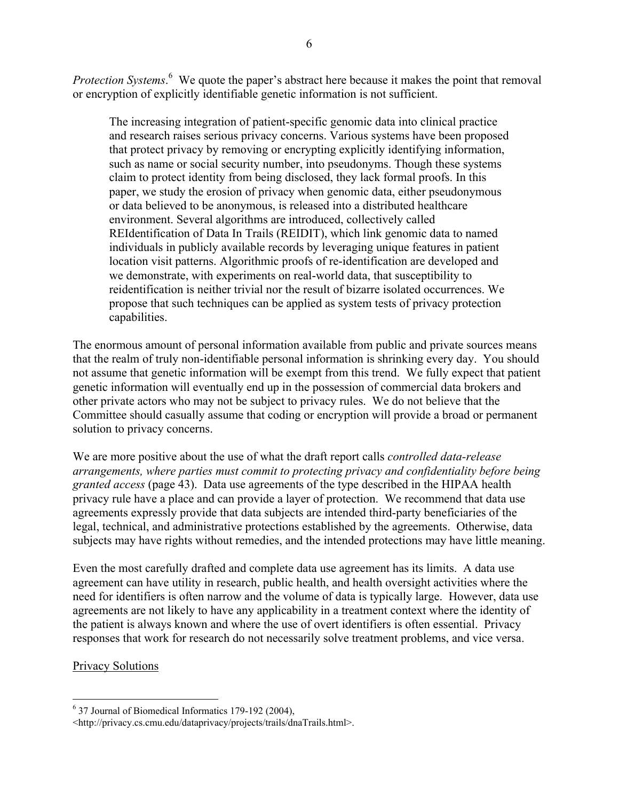Protection Systems.<sup>6</sup> We quote the paper's abstract here because it makes the point that removal or encryption of explicitly identifiable genetic information is not sufficient.

The increasing integration of patient-specific genomic data into clinical practice and research raises serious privacy concerns. Various systems have been proposed that protect privacy by removing or encrypting explicitly identifying information, such as name or social security number, into pseudonyms. Though these systems claim to protect identity from being disclosed, they lack formal proofs. In this paper, we study the erosion of privacy when genomic data, either pseudonymous or data believed to be anonymous, is released into a distributed healthcare environment. Several algorithms are introduced, collectively called REIdentification of Data In Trails (REIDIT), which link genomic data to named individuals in publicly available records by leveraging unique features in patient location visit patterns. Algorithmic proofs of re-identification are developed and we demonstrate, with experiments on real-world data, that susceptibility to reidentification is neither trivial nor the result of bizarre isolated occurrences. We propose that such techniques can be applied as system tests of privacy protection capabilities.

The enormous amount of personal information available from public and private sources means that the realm of truly non-identifiable personal information is shrinking every day. You should not assume that genetic information will be exempt from this trend. We fully expect that patient genetic information will eventually end up in the possession of commercial data brokers and other private actors who may not be subject to privacy rules. We do not believe that the Committee should casually assume that coding or encryption will provide a broad or permanent solution to privacy concerns.

We are more positive about the use of what the draft report calls *controlled data-release arrangements, where parties must commit to protecting privacy and confidentiality before being granted access* (page 43). Data use agreements of the type described in the HIPAA health privacy rule have a place and can provide a layer of protection. We recommend that data use agreements expressly provide that data subjects are intended third-party beneficiaries of the legal, technical, and administrative protections established by the agreements. Otherwise, data subjects may have rights without remedies, and the intended protections may have little meaning.

Even the most carefully drafted and complete data use agreement has its limits. A data use agreement can have utility in research, public health, and health oversight activities where the need for identifiers is often narrow and the volume of data is typically large. However, data use agreements are not likely to have any applicability in a treatment context where the identity of the patient is always known and where the use of overt identifiers is often essential. Privacy responses that work for research do not necessarily solve treatment problems, and vice versa.

## Privacy Solutions

 $\frac{1}{6}$ 37 Journal of Biomedical Informatics 179-192 (2004),

<sup>&</sup>lt;http://privacy.cs.cmu.edu/dataprivacy/projects/trails/dnaTrails.html>.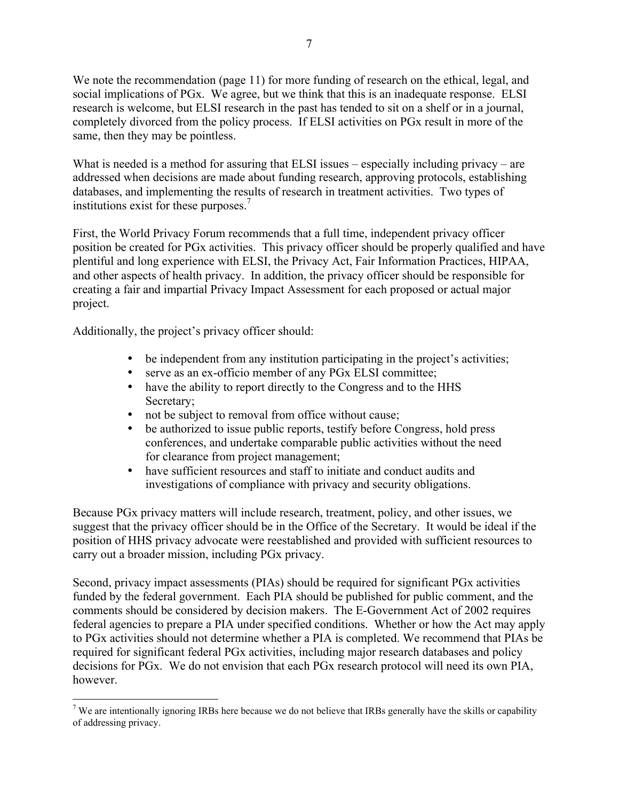We note the recommendation (page 11) for more funding of research on the ethical, legal, and social implications of PGx. We agree, but we think that this is an inadequate response. ELSI research is welcome, but ELSI research in the past has tended to sit on a shelf or in a journal, completely divorced from the policy process. If ELSI activities on PGx result in more of the same, then they may be pointless.

What is needed is a method for assuring that ELSI issues – especially including privacy – are addressed when decisions are made about funding research, approving protocols, establishing databases, and implementing the results of research in treatment activities. Two types of institutions exist for these purposes.<sup>7</sup>

First, the World Privacy Forum recommends that a full time, independent privacy officer position be created for PGx activities. This privacy officer should be properly qualified and have plentiful and long experience with ELSI, the Privacy Act, Fair Information Practices, HIPAA, and other aspects of health privacy. In addition, the privacy officer should be responsible for creating a fair and impartial Privacy Impact Assessment for each proposed or actual major project.

Additionally, the project's privacy officer should:

- be independent from any institution participating in the project's activities;
- serve as an ex-officio member of any PGx ELSI committee;
- have the ability to report directly to the Congress and to the HHS Secretary;
- not be subject to removal from office without cause;
- be authorized to issue public reports, testify before Congress, hold press conferences, and undertake comparable public activities without the need for clearance from project management;
- have sufficient resources and staff to initiate and conduct audits and investigations of compliance with privacy and security obligations.

Because PGx privacy matters will include research, treatment, policy, and other issues, we suggest that the privacy officer should be in the Office of the Secretary. It would be ideal if the position of HHS privacy advocate were reestablished and provided with sufficient resources to carry out a broader mission, including PGx privacy.

Second, privacy impact assessments (PIAs) should be required for significant PGx activities funded by the federal government. Each PIA should be published for public comment, and the comments should be considered by decision makers. The E-Government Act of 2002 requires federal agencies to prepare a PIA under specified conditions. Whether or how the Act may apply to PGx activities should not determine whether a PIA is completed. We recommend that PIAs be required for significant federal PGx activities, including major research databases and policy decisions for PGx. We do not envision that each PGx research protocol will need its own PIA, however.

<sup>-&</sup>lt;br>7  $\alpha$ <sup>7</sup> We are intentionally ignoring IRBs here because we do not believe that IRBs generally have the skills or capability of addressing privacy.